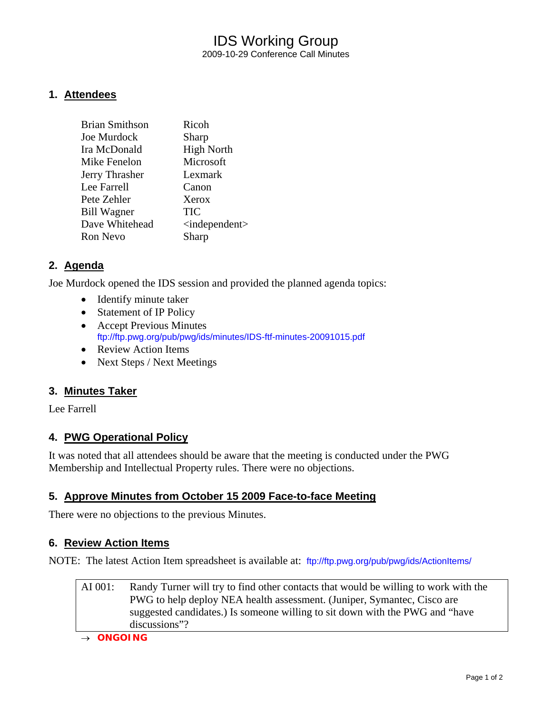# IDS Working Group 2009-10-29 Conference Call Minutes

### **1. Attendees**

| <b>Brian Smithson</b> | Ricoh                           |
|-----------------------|---------------------------------|
| Joe Murdock           | Sharp                           |
| Ira McDonald          | <b>High North</b>               |
| Mike Fenelon          | Microsoft                       |
| Jerry Thrasher        | Lexmark                         |
| Lee Farrell           | Canon                           |
| Pete Zehler           | Xerox                           |
| <b>Bill Wagner</b>    | <b>TIC</b>                      |
| Dave Whitehead        | $\langle$ independent $\rangle$ |
| <b>Ron Nevo</b>       | Sharp                           |
|                       |                                 |

#### **2. Agenda**

Joe Murdock opened the IDS session and provided the planned agenda topics:

- Identify minute taker
- Statement of IP Policy
- Accept Previous Minutes <ftp://ftp.pwg.org/pub/pwg/ids/minutes/IDS-ftf-minutes-20091015.pdf>
- Review Action Items
- Next Steps / Next Meetings

#### **3. Minutes Taker**

Lee Farrell

#### **4. PWG Operational Policy**

It was noted that all attendees should be aware that the meeting is conducted under the PWG Membership and Intellectual Property rules. There were no objections.

#### **5. Approve Minutes from October 15 2009 Face-to-face Meeting**

There were no objections to the previous Minutes.

#### **6. Review Action Items**

NOTE: The latest Action Item spreadsheet is available at: <ftp://ftp.pwg.org/pub/pwg/ids/ActionItems/>

| AI 001: | Randy Turner will try to find other contacts that would be willing to work with the |
|---------|-------------------------------------------------------------------------------------|
|         | PWG to help deploy NEA health assessment. (Juniper, Symantec, Cisco are             |
|         | suggested candidates.) Is someone willing to sit down with the PWG and "have        |
|         | discussions"?                                                                       |

→ *ONGOING*